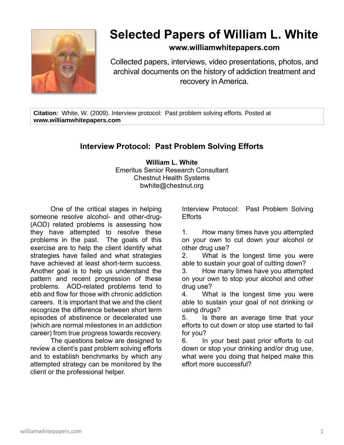

## **Selected Papers of William L. White**

## **www.williamwhitepapers.com**

Collected papers, interviews, video presentations, photos, and archival documents on the history of addiction treatment and recovery in America.

**Citation**: White, W. (2009). Interview protocol: Past problem solving efforts. Posted at **www.williamwhitepapers.com**

## **Interview Protocol: Past Problem Solving Efforts**

**William L. White** Emeritus Senior Research Consultant Chestnut Health Systems bwhite@chestnut.org

One of the critical stages in helping someone resolve alcohol- and other-drug- (AOD) related problems is assessing how they have attempted to resolve these problems in the past. The goals of this exercise are to help the client identify what strategies have failed and what strategies have achieved at least short-term success. Another goal is to help us understand the pattern and recent progression of these problems. AOD-related problems tend to ebb and flow for those with chronic addiction careers. It is important that we and the client recognize the difference between short term episodes of abstinence or decelerated use (which are normal milestones in an addiction career) from true progress towards recovery.

The questions below are designed to review a client's past problem solving efforts and to establish benchmarks by which any attempted strategy can be monitored by the client or the professional helper.

Interview Protocol: Past Problem Solving **Efforts** 

1. How many times have you attempted on your own to cut down your alcohol or other drug use?

2. What is the longest time you were able to sustain your goal of cutting down?

3. How many times have you attempted on your own to stop your alcohol and other drug use?

4. What is the longest time you were able to sustain your goal of not drinking or using drugs?

5. Is there an average time that your efforts to cut down or stop use started to fail for you?

6. In your best past prior efforts to cut down or stop your drinking and/or drug use, what were you doing that helped make this effort more successful?